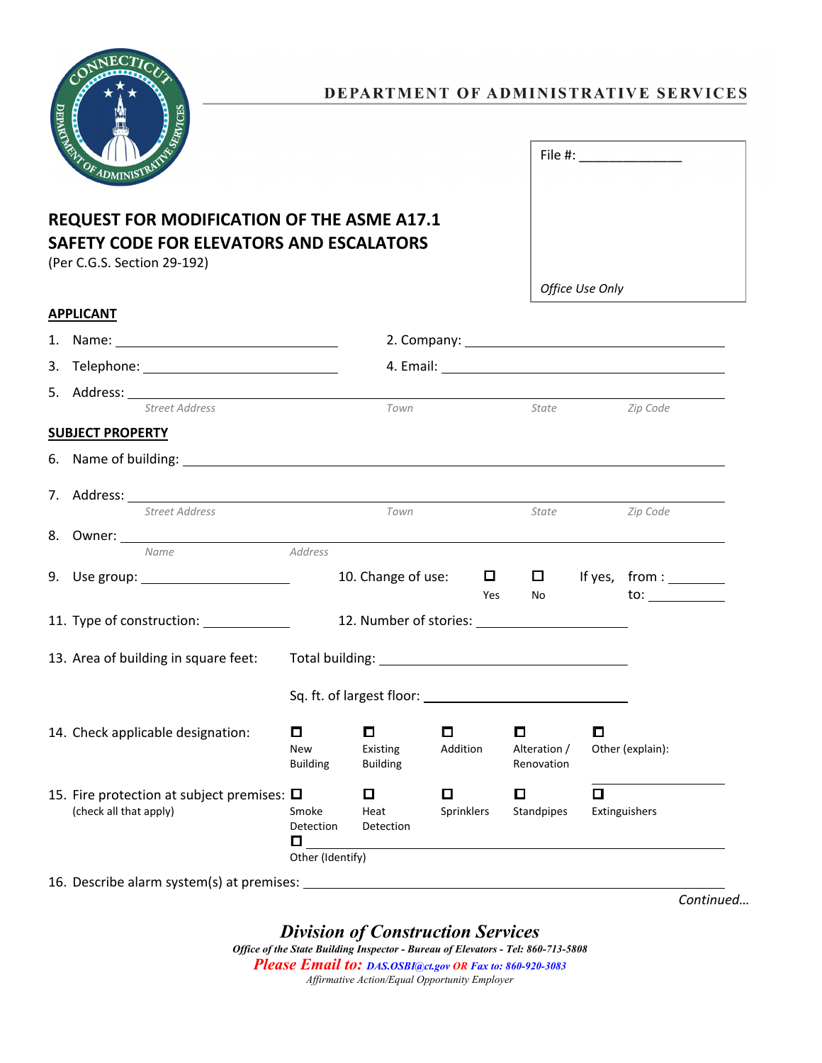

**SAFETY CODE FOR ELEVATORS AND ESCALATORS**

## **REQUEST FOR MODIFICATION OF THE ASME A17.1** File #: \_\_\_\_\_\_\_\_\_\_\_\_\_\_

|    | (Per C.G.S. Section 29-192)                                                  |                                               |  |                                  |                 |        |                                 |                 |                       |  |
|----|------------------------------------------------------------------------------|-----------------------------------------------|--|----------------------------------|-----------------|--------|---------------------------------|-----------------|-----------------------|--|
|    |                                                                              |                                               |  |                                  |                 |        |                                 | Office Use Only |                       |  |
|    | <b>APPLICANT</b>                                                             |                                               |  |                                  |                 |        |                                 |                 |                       |  |
| 1. |                                                                              |                                               |  |                                  |                 |        |                                 |                 |                       |  |
| 3. | Telephone: __________________________________                                |                                               |  |                                  |                 |        |                                 |                 |                       |  |
|    |                                                                              |                                               |  |                                  |                 |        |                                 |                 |                       |  |
|    | <b>Street Address</b>                                                        |                                               |  | Town                             |                 |        | State                           |                 | Zip Code              |  |
|    | <b>SUBJECT PROPERTY</b>                                                      |                                               |  |                                  |                 |        |                                 |                 |                       |  |
|    |                                                                              |                                               |  |                                  |                 |        |                                 |                 |                       |  |
|    |                                                                              |                                               |  |                                  |                 |        |                                 |                 |                       |  |
|    | <b>Street Address</b>                                                        |                                               |  | Town                             |                 |        | State                           |                 | Zip Code              |  |
|    |                                                                              |                                               |  |                                  |                 |        |                                 |                 |                       |  |
|    | Name                                                                         | Address                                       |  |                                  |                 |        |                                 |                 |                       |  |
|    | 9. Use group: _______________________                                        |                                               |  | 10. Change of use:               |                 | $\Box$ |                                 |                 | $\Box$ If yes, from : |  |
|    |                                                                              |                                               |  |                                  |                 | Yes    | No                              |                 | to:                   |  |
|    | 11. Type of construction: _____________                                      | 12. Number of stories: 12. Number of stories: |  |                                  |                 |        |                                 |                 |                       |  |
|    | 13. Area of building in square feet:                                         |                                               |  |                                  |                 |        |                                 |                 |                       |  |
|    |                                                                              |                                               |  |                                  |                 |        |                                 |                 |                       |  |
|    |                                                                              |                                               |  |                                  |                 |        |                                 |                 |                       |  |
|    | 14. Check applicable designation:                                            | $\Box$<br><b>New</b><br><b>Building</b>       |  | 0<br>Existing<br><b>Building</b> | 0<br>Addition   |        | 0<br>Alteration /<br>Renovation | O               | Other (explain):      |  |
|    |                                                                              |                                               |  |                                  |                 |        |                                 |                 |                       |  |
|    | 15. Fire protection at subject premises: $\square$<br>(check all that apply) | Smoke<br>Detection                            |  | 0<br>Heat<br>Detection           | ◻<br>Sprinklers |        | $\Box$<br>Standpipes            | $\Box$          | Extinguishers         |  |

 $\Box$ Other (Identify)

16. Describe alarm system(s) at premises:

*Continued…*

*Division of Construction Services*

*Office of the State Building Inspector - Bureau of Elevators - Tel: 860-713-5808 Please Email to: DAS.OSBI@ct.gov OR Fax to: 860-920-3083 Affirmative Action/Equal Opportunity Employer*